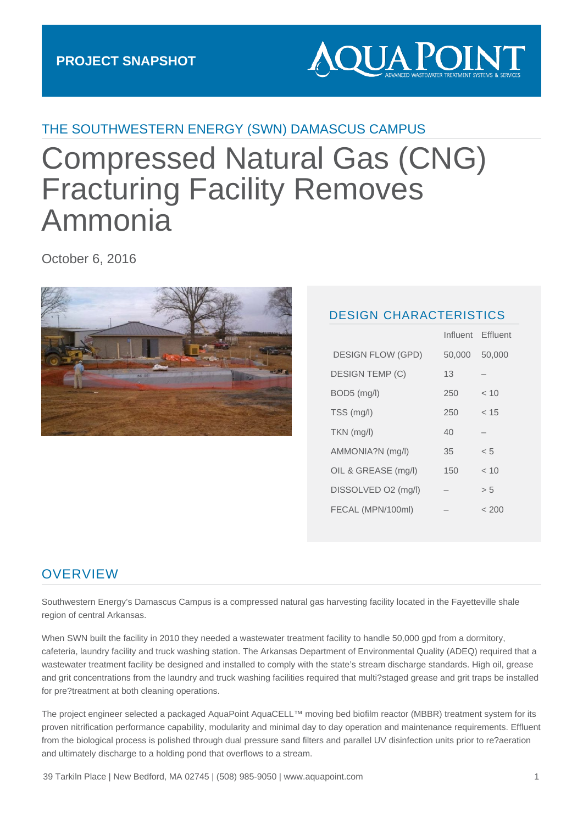# **AQUA POIN**

#### THE SOUTHWESTERN ENERGY (SWN) DAMASCUS CAMPUS

# Compressed Natural Gas (CNG) Fracturing Facility Removes Ammonia

October 6, 2016



#### DESIGN CHARACTERISTICS

Influent Effluent

|                          |        | <u>Liiuuil</u> |
|--------------------------|--------|----------------|
| <b>DESIGN FLOW (GPD)</b> | 50,000 | 50,000         |
| <b>DESIGN TEMP (C)</b>   | 13     |                |
| BOD5 (mg/l)              | 250    | ~< 10          |
| TSS (mg/l)               | 250    | < 15           |
| TKN (mg/l)               | 40     |                |
| AMMONIA?N (mg/l)         | 35     | < 5            |
| OIL & GREASE (mg/l)      | 150    | < 10           |
| DISSOLVED O2 (mg/l)      |        | > 5            |
| FECAL (MPN/100ml)        |        | < 200          |

#### **OVERVIEW**

Southwestern Energy's Damascus Campus is a compressed natural gas harvesting facility located in the Fayetteville shale region of central Arkansas.

When SWN built the facility in 2010 they needed a wastewater treatment facility to handle 50,000 gpd from a dormitory, cafeteria, laundry facility and truck washing station. The Arkansas Department of Environmental Quality (ADEQ) required that a wastewater treatment facility be designed and installed to comply with the state's stream discharge standards. High oil, grease and grit concentrations from the laundry and truck washing facilities required that multi?staged grease and grit traps be installed for pre?treatment at both cleaning operations.

The project engineer selected a packaged AquaPoint AquaCELL™ moving bed biofilm reactor (MBBR) treatment system for its proven nitrification performance capability, modularity and minimal day to day operation and maintenance requirements. Effluent from the biological process is polished through dual pressure sand filters and parallel UV disinfection units prior to re?aeration and ultimately discharge to a holding pond that overflows to a stream.